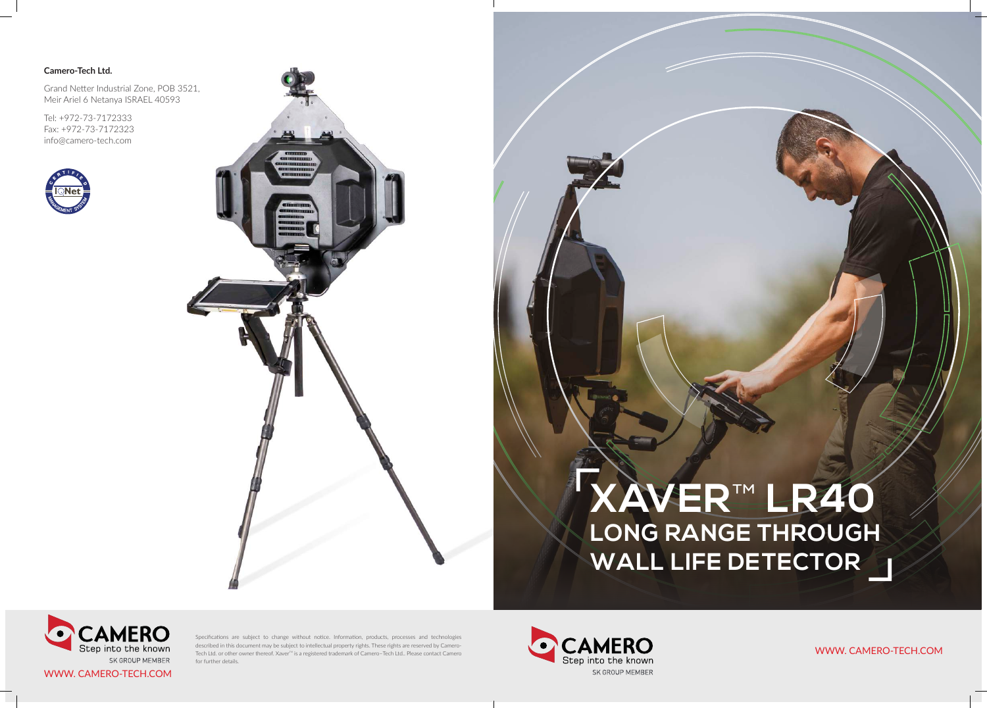WWW. CAMERO-TECH.COM

WWW. CAMERO-TECH.COM

#### **Camero-Tech Ltd.**

Grand Netter Industrial Zone, POB 3521, Meir Ariel 6 Netanya ISRAEL 40593

Tel: +972-73-7172333 Fax: +972-73-7172323 info@camero-tech.com





Specifications are subject to change without notice. Information, products, processes and technologies described in this document may be subject to intellectual property rights. These rights are reserved by Camero-Tech Ltd. or other owner thereof. Xaver<sup>™</sup> is a registered trademark of Camero-Tech Ltd.. Please contact Camero for further details.



# **XAVER**™ **LR40 LONG RANGE THROUGH WALL LIFE DETECTOR**